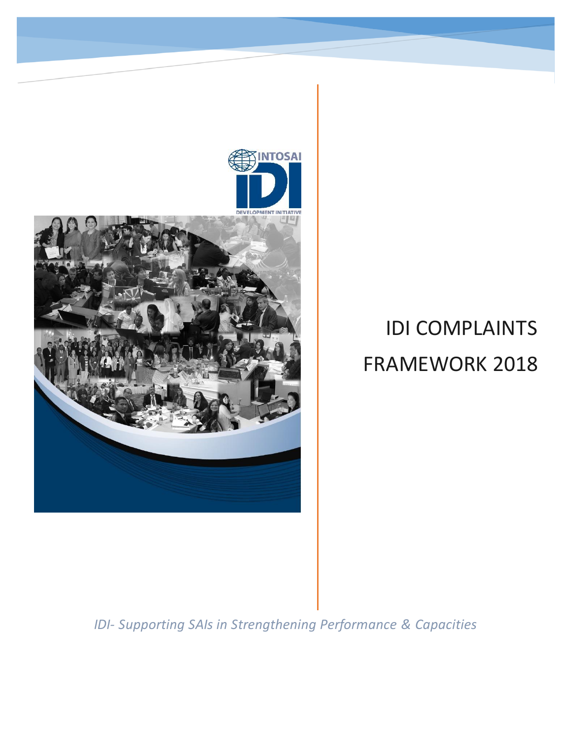

*IDI- Supporting SAIs in Strengthening Performance & Capacities*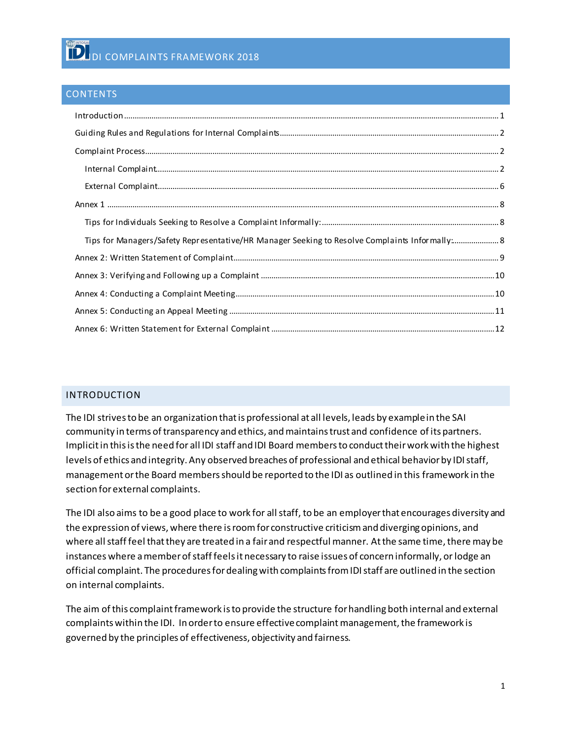#### **CONTENTS**

| $\label{prop:1} \mbox{Introduction} \,\, \ldots \,\, \ldots \,\, \ldots \,\, \ldots \,\, \ldots \,\, \ldots \,\, \ldots \,\, \ldots \,\, \ldots \,\, \ldots \,\, \ldots \,\, \ldots \,\, \ldots \,\, \ldots \,\, \ldots \,\, \ldots \,\, \ldots \,\, \ldots \,\, \ldots \,\, \ldots \,\, \ldots \,\, \ldots \,\, \ldots \,\, \ldots \,\, \ldots \,\, \ldots \,\, \ldots \,\, \ldots \,\, \ldots \,\, \ldots \,\, \ldots \,\, \ldots \,\, \ldots \,\, \ldots \,\,$ |  |
|-------------------------------------------------------------------------------------------------------------------------------------------------------------------------------------------------------------------------------------------------------------------------------------------------------------------------------------------------------------------------------------------------------------------------------------------------------------------|--|
|                                                                                                                                                                                                                                                                                                                                                                                                                                                                   |  |
|                                                                                                                                                                                                                                                                                                                                                                                                                                                                   |  |
|                                                                                                                                                                                                                                                                                                                                                                                                                                                                   |  |
|                                                                                                                                                                                                                                                                                                                                                                                                                                                                   |  |
|                                                                                                                                                                                                                                                                                                                                                                                                                                                                   |  |
|                                                                                                                                                                                                                                                                                                                                                                                                                                                                   |  |
| Tips for Managers/Safety Representative/HR Manager Seeking to Resolve Complaints Informally: 8                                                                                                                                                                                                                                                                                                                                                                    |  |
|                                                                                                                                                                                                                                                                                                                                                                                                                                                                   |  |
|                                                                                                                                                                                                                                                                                                                                                                                                                                                                   |  |
|                                                                                                                                                                                                                                                                                                                                                                                                                                                                   |  |
|                                                                                                                                                                                                                                                                                                                                                                                                                                                                   |  |
|                                                                                                                                                                                                                                                                                                                                                                                                                                                                   |  |

### <span id="page-1-0"></span>INTRODUCTION

The IDI strives to be an organization that is professional at all levels, leads by example in the SAI community in terms of transparency and ethics, and maintains trust and confidence of its partners. Implicit in this is the need for all IDI staff and IDI Board members to conduct their work with the highest levels of ethics and integrity. Any observed breaches of professional and ethical behavior by IDI staff, management or the Board members should be reported to the IDI as outlined in this framework in the section for external complaints.

The IDI also aims to be a good place to work for all staff, to be an employer that encourages diversity and the expression of views, where there is room for constructive criticism and diverging opinions, and where all staff feel that they are treated in a fair and respectful manner. At the same time, there may be instances where a member of staff feels it necessary to raise issues of concern informally, or lodge an official complaint. The procedures for dealing with complaints from IDI staff are outlined in the section on internal complaints.

The aim of this complaint framework is to provide the structure for handling both internal and external complaints within the IDI. In order to ensure effective complaint management, the framework is governed by the principles of effectiveness, objectivity and fairness.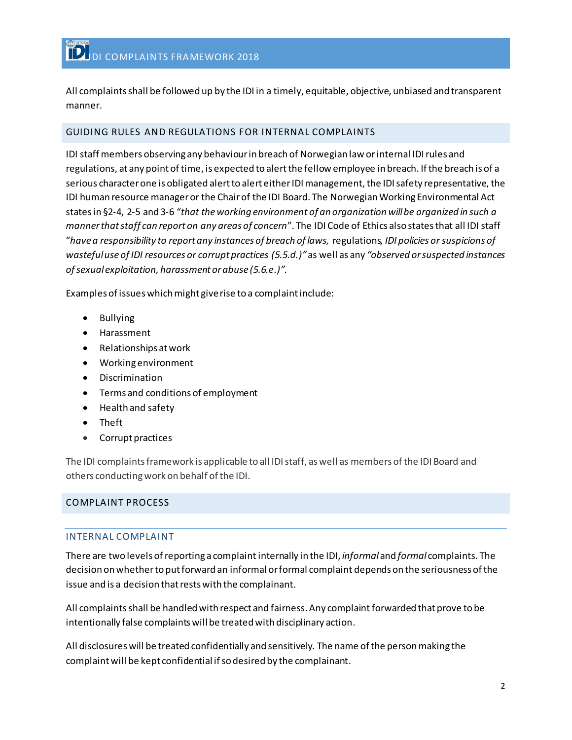All complaints shall be followed up by the IDI in a timely, equitable, objective, unbiased and transparent manner.

## <span id="page-2-0"></span>GUIDING RULES AND REGULATIONS FOR INTERNAL COMPLAINTS

IDI staff members observing any behaviour in breach of Norwegian law or internal IDI rules and regulations, at any point of time, is expected to alertthe fellow employee in breach. If the breach is of a serious character one is obligated alert to alert either IDI management, the IDI safety representative, the IDI human resource manager or the Chairof the IDI Board. The Norwegian Working Environmental Act states in §2-4, 2-5 and 3-6 "*that the working environment of an organization will be organized in such a manner that staff can report on any areas of concern*". The IDI Code of Ethics also states that all IDI staff "*have a responsibility to report any instances of breach of laws,* regulations*, IDI policies or suspicions of wasteful use of IDI resources or corrupt practices (5.5.d.)"*as well as any *"observed or suspected instances of sexual exploitation, harassment or abuse (5.6.e.)".*

Examples of issues which might give rise to a complaint include:

- Bullying
- Harassment
- Relationships at work
- Working environment
- **Discrimination**
- Terms and conditions of employment
- Health and safety
- Theft
- Corrupt practices

The IDI complaints framework is applicable to all IDI staff, as well as members of the IDI Board and others conducting work on behalf of the IDI.

### <span id="page-2-2"></span><span id="page-2-1"></span>COMPLAINT PROCESS

### INTERNAL COMPLAINT

There are two levels of reporting a complaint internally in the IDI, *informal*and *formal* complaints. The decision on whether to put forward an informal or formal complaint depends on the seriousness of the issue and is a decision that rests with the complainant.

All complaints shall be handled with respect and fairness. Any complaint forwarded that prove to be intentionally false complaints will be treated with disciplinary action.

All disclosures will be treated confidentially and sensitively. The name of the person making the complaint will be kept confidential if so desired by the complainant.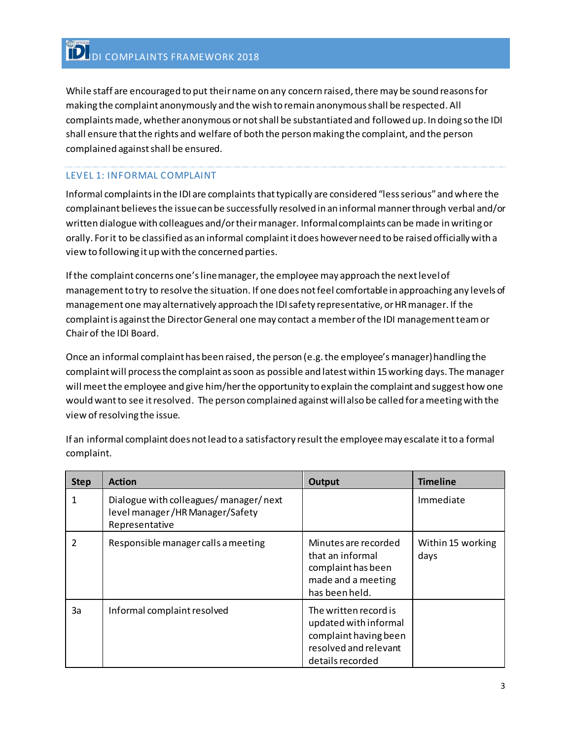While staff are encouraged to put their name on any concern raised, there may be sound reasons for making the complaint anonymously and the wish to remain anonymous shall be respected. All complaints made, whether anonymous or not shall be substantiated and followed up. In doing so the IDI shall ensure that the rights and welfare of both the person making the complaint, and the person complained against shall be ensured.

# LEVEL 1: INFORMAL COMPLAINT

Informal complaints in the IDI are complaints that typically are considered "less serious" and where the complainant believes the issue can be successfully resolved in an informal manner through verbal and/or written dialogue with colleagues and/or their manager. Informal complaints can be made in writing or orally. For it to be classified as an informal complaint it does however need to be raised officially with a view to following it up with the concerned parties.

If the complaint concerns one's line manager, the employee may approach the next level of managementto try to resolve the situation. If one does not feel comfortable in approaching any levels of management one may alternatively approach the IDI safety representative, or HR manager. If the complaint is against the Director General one may contact a member of the IDI management team or Chairof the IDI Board.

Once an informal complaint has been raised, the person (e.g. the employee's manager) handling the complaint will process the complaint as soon as possible and latest within 15 working days. The manager will meet the employee and give him/her the opportunity to explain the complaint and suggest how one would want to see it resolved. The person complained against will also be called for a meeting with the view of resolving the issue.

| <b>Step</b> | <b>Action</b>                                                                                | Output                                                                                                               | <b>Timeline</b>           |
|-------------|----------------------------------------------------------------------------------------------|----------------------------------------------------------------------------------------------------------------------|---------------------------|
|             | Dialogue with colleagues/ manager/ next<br>level manager/HR Manager/Safety<br>Representative |                                                                                                                      | Immediate                 |
| 2           | Responsible manager calls a meeting                                                          | Minutes are recorded<br>that an informal<br>complaint has been<br>made and a meeting<br>has been held.               | Within 15 working<br>days |
| 3a          | Informal complaint resolved                                                                  | The written record is<br>updated with informal<br>complaint having been<br>resolved and relevant<br>details recorded |                           |

If an informal complaint does not lead to a satisfactory result the employee may escalate it to a formal complaint.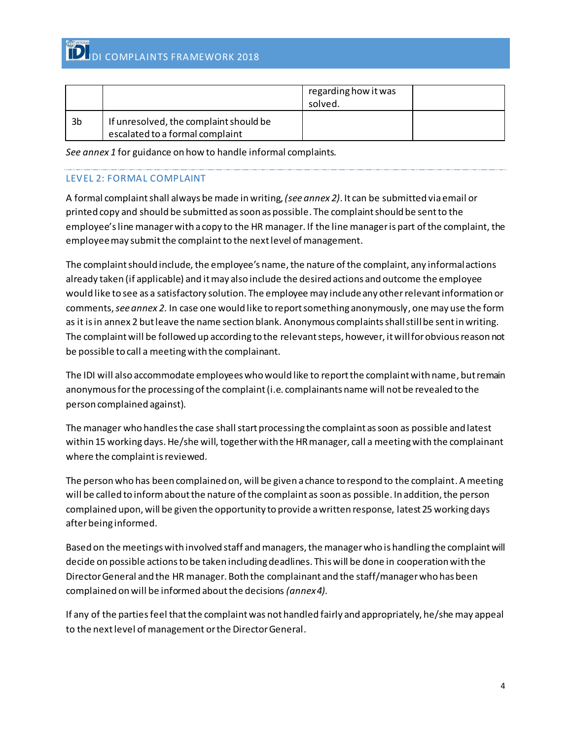|    |                                                                           | regarding how it was<br>solved. |  |
|----|---------------------------------------------------------------------------|---------------------------------|--|
| 3b | If unresolved, the complaint should be<br>escalated to a formal complaint |                                 |  |

*See annex 1* for guidance on how to handle informal complaints.

# LEVEL 2: FORMAL COMPLAINT

A formal complaint shall always be made in writing, *(see annex 2)*. It can be submitted via email or printed copy and should be submitted as soon as possible. The complaint should be sent to the employee'sline managerwith a copy to the HR manager. If the line manager is part of the complaint, the employee may submit the complaint to the next level of management.

The complaint should include, the employee's name, the nature of the complaint, any informal actions already taken (if applicable) and it may also include the desired actions and outcome the employee would like to see as a satisfactory solution. The employee may include any other relevant information or comments, *see annex 2*. In case one would like to report something anonymously, one may use the form as it is in annex 2 but leave the name section blank. Anonymous complaintsshall still be sent in writing. The complaint will be followed up according to the relevant steps, however, it will for obvious reason not be possible to call a meeting with the complainant.

The IDI will also accommodate employees who would like to report the complaint with name, but remain anonymous for the processing of the complaint (i.e. complainants name will not be revealed to the person complained against).

The manager who handles the case shall start processing the complaint as soon as possible and latest within 15 working days. He/she will, together with the HR manager, call a meeting with the complainant where the complaint is reviewed.

The person who has been complained on, will be given a chance to respond to the complaint. A meeting will be called to inform about the nature of the complaint as soon as possible. In addition, the person complained upon, will be given the opportunity to provide a written response, latest 25 working days after being informed.

Based on the meetings with involved staff and managers, the manager who is handling the complaint will decide on possible actions to be taken including deadlines. This will be done in cooperation with the Director General and the HR manager. Both the complainant and the staff/manager who has been complained on will be informed about the decisions *(annex 4).*

If any of the partiesfeel that the complaint was not handled fairly and appropriately, he/she may appeal to the next level of management or the Director General.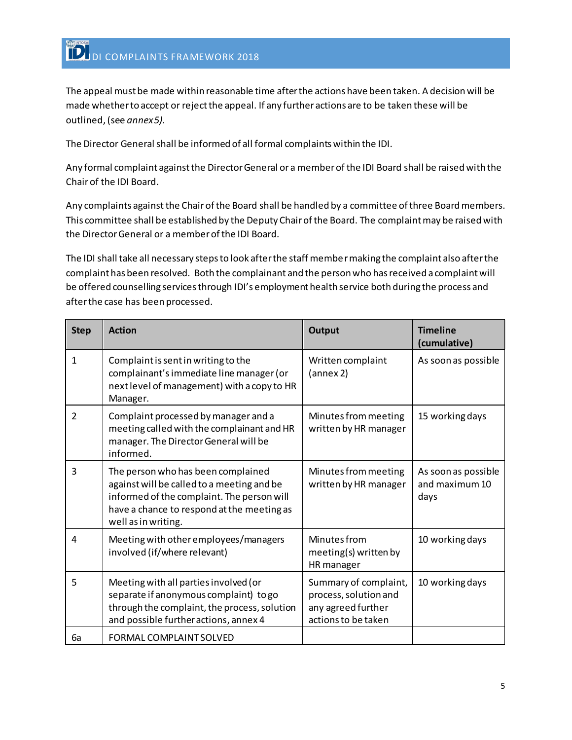The appeal must be made within reasonable time after the actions have been taken. A decision will be made whether to accept or reject the appeal. If any further actions are to be taken these will be outlined, (see *annex 5).*

The Director General shall be informed of all formal complaintswithin the IDI.

Any formal complaint against the Director General or a member of the IDI Board shall be raised with the Chairof the IDI Board.

Any complaints against the Chair of the Board shall be handled by a committee of three Board members. This committee shall be established by the Deputy Chair of the Board. The complaint may be raised with the Director General or a member of the IDI Board.

The IDI shall take all necessary steps to look after the staff member making the complaint also after the complaint has been resolved. Both the complainant and the person who has received a complaint will be offered counselling services through IDI's employment health service both during the process and after the case has been processed.

| <b>Step</b>    | <b>Action</b>                                                                                                                                                                                       | <b>Output</b>                                                                               | <b>Timeline</b><br>(cumulative)               |
|----------------|-----------------------------------------------------------------------------------------------------------------------------------------------------------------------------------------------------|---------------------------------------------------------------------------------------------|-----------------------------------------------|
| $\mathbf{1}$   | Complaint is sent in writing to the<br>complainant's immediate line manager (or<br>next level of management) with a copy to HR<br>Manager.                                                          | Written complaint<br>(annex 2)                                                              | As soon as possible                           |
| $\overline{2}$ | Complaint processed by manager and a<br>meeting called with the complainant and HR<br>manager. The Director General will be<br>informed.                                                            | Minutes from meeting<br>written by HR manager                                               | 15 working days                               |
| 3              | The person who has been complained<br>against will be called to a meeting and be<br>informed of the complaint. The person will<br>have a chance to respond at the meeting as<br>well as in writing. | Minutes from meeting<br>written by HR manager                                               | As soon as possible<br>and maximum 10<br>days |
| 4              | Meeting with other employees/managers<br>involved (if/where relevant)                                                                                                                               | Minutes from<br>meeting(s) written by<br>HR manager                                         | 10 working days                               |
| 5              | Meeting with all parties involved (or<br>separate if anonymous complaint) to go<br>through the complaint, the process, solution<br>and possible further actions, annex 4                            | Summary of complaint,<br>process, solution and<br>any agreed further<br>actions to be taken | 10 working days                               |
| 6a             | FORMAL COMPLAINT SOLVED                                                                                                                                                                             |                                                                                             |                                               |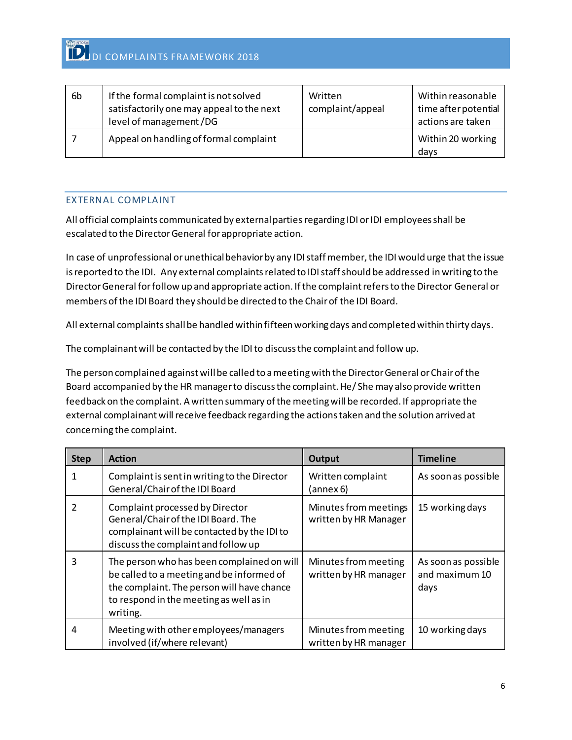| 6b | If the formal complaint is not solved<br>satisfactorily one may appeal to the next<br>level of management /DG | Written<br>complaint/appeal | Within reasonable<br>time after potential<br>actions are taken |
|----|---------------------------------------------------------------------------------------------------------------|-----------------------------|----------------------------------------------------------------|
|    | Appeal on handling of formal complaint                                                                        |                             | Within 20 working<br>days                                      |

## <span id="page-6-0"></span>EXTERNAL COMPLAINT

All official complaints communicated by external parties regarding IDI or IDI employees shall be escalated to the Director General for appropriate action.

In case of unprofessional or unethical behavior by any IDI staff member, the IDI would urge that the issue is reported to the IDI. Any external complaints related to IDI staff should be addressed in writing to the Director General for follow up and appropriate action. If the complaint refers to the Director General or members of the IDI Board they should be directed to the Chair of the IDI Board.

All external complaints shall be handled within fifteen working days and completed within thirty days.

The complainant will be contacted by the IDI to discuss the complaint and follow up.

The person complained againstwill be called to a meeting with the Director General or Chair of the Board accompanied by the HR manager to discuss the complaint. He/ She may also provide written feedback on the complaint. A written summary of the meeting will be recorded. If appropriate the external complainant will receive feedback regarding the actions taken and the solution arrived at concerning the complaint.

| <b>Step</b> | <b>Action</b>                                                                                                                                                                                | <b>Output</b>                                  | <b>Timeline</b>                               |
|-------------|----------------------------------------------------------------------------------------------------------------------------------------------------------------------------------------------|------------------------------------------------|-----------------------------------------------|
|             | Complaint is sent in writing to the Director<br>General/Chair of the IDI Board                                                                                                               | Written complaint<br>(annex 6)                 | As soon as possible                           |
| 2           | Complaint processed by Director<br>General/Chair of the IDI Board. The<br>complainant will be contacted by the IDI to<br>discuss the complaint and follow up                                 | Minutes from meetings<br>written by HR Manager | 15 working days                               |
| 3           | The person who has been complained on will<br>be called to a meeting and be informed of<br>the complaint. The person will have chance<br>to respond in the meeting as well as in<br>writing. | Minutes from meeting<br>written by HR manager  | As soon as possible<br>and maximum 10<br>days |
| 4           | Meeting with other employees/managers<br>involved (if/where relevant)                                                                                                                        | Minutes from meeting<br>written by HR manager  | 10 working days                               |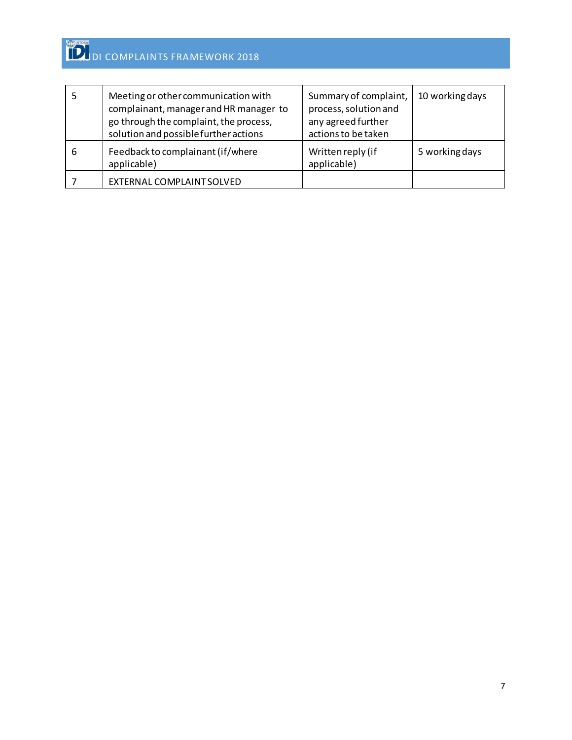|   | Meeting or other communication with<br>complainant, manager and HR manager to<br>go through the complaint, the process,<br>solution and possible further actions | Summary of complaint,<br>process, solution and<br>any agreed further<br>actions to be taken | 10 working days |
|---|------------------------------------------------------------------------------------------------------------------------------------------------------------------|---------------------------------------------------------------------------------------------|-----------------|
| 6 | Feedback to complainant (if/where<br>applicable)                                                                                                                 | Written reply (if<br>applicable)                                                            | 5 working days  |
|   | EXTERNAL COMPLAINT SOLVED                                                                                                                                        |                                                                                             |                 |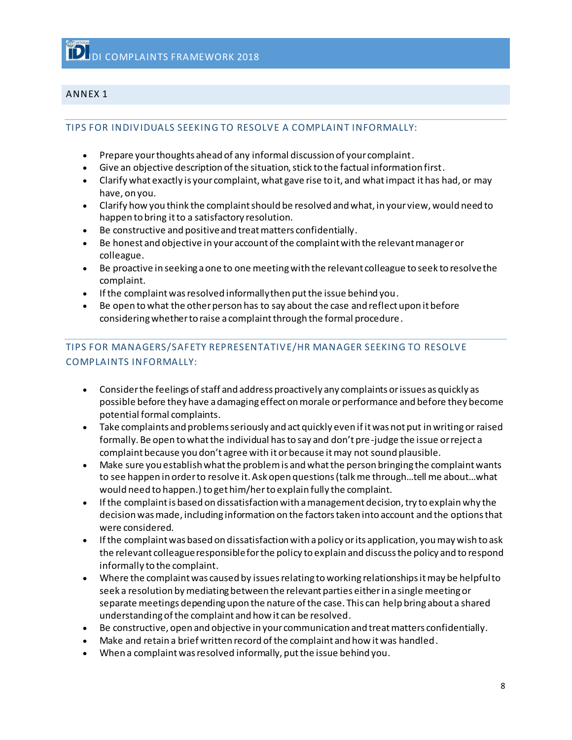## <span id="page-8-1"></span><span id="page-8-0"></span>ANNEX 1

#### TIPS FOR INDIVIDUALS SEEKING TO RESOLVE A COMPLAINT INFORMALLY:

- Prepare your thoughts ahead of any informal discussion of your complaint.
- Give an objective description of the situation, stick to the factual information first.
- Clarify what exactly is your complaint, what gave rise to it, and what impact it has had, or may have, on you.
- Clarify how you think the complaint should be resolved and what, in your view, would need to happen to bring it to a satisfactory resolution.
- Be constructive and positive and treat matters confidentially.
- Be honest and objective in your account of the complaint with the relevant manager or colleague.
- Be proactive in seeking a one to one meeting with the relevant colleague to seek to resolve the complaint.
- If the complaint was resolved informally then put the issue behind you.
- Be open to what the other person has to say about the case and reflect upon it before considering whether to raise a complaint through the formal procedure.

# <span id="page-8-2"></span>TIPS FOR MANAGERS/SAFETY REPRESENTATIVE/HR MANAGER SEEKING TO RESOLVE COMPLAINTS INFORMALLY:

- Consider the feelings of staff and address proactively any complaints or issues as quickly as possible before they have a damaging effect on morale or performance and before they become potential formal complaints.
- Take complaints and problems seriously and act quickly even if it was not put in writing or raised formally. Be open to what the individual has to say and don't pre-judge the issue or reject a complaint because you don't agree with it or because it may not sound plausible.
- Make sure you establish what the problem is and what the person bringing the complaint wants to see happen in order to resolve it. Ask open questions (talk me through…tell me about…what would need to happen.) to get him/herto explain fully the complaint.
- If the complaint is based on dissatisfaction with a management decision, try to explain why the decision was made, including information on the factors taken into account and the options that were considered.
- If the complaint was based on dissatisfaction with a policy or its application, you may wish to ask the relevant colleague responsible for the policy to explain and discuss the policy and to respond informally to the complaint.
- Where the complaint was caused by issues relating to working relationships it may be helpful to seek a resolution by mediating between the relevant parties either in a single meeting or separate meetings depending upon the nature of the case. This can help bring about a shared understanding of the complaint and how it can be resolved.
- Be constructive, open and objective in your communication and treat matters confidentially.
- Make and retain a brief written record of the complaint and how it was handled.
- When a complaint was resolved informally, put the issue behind you.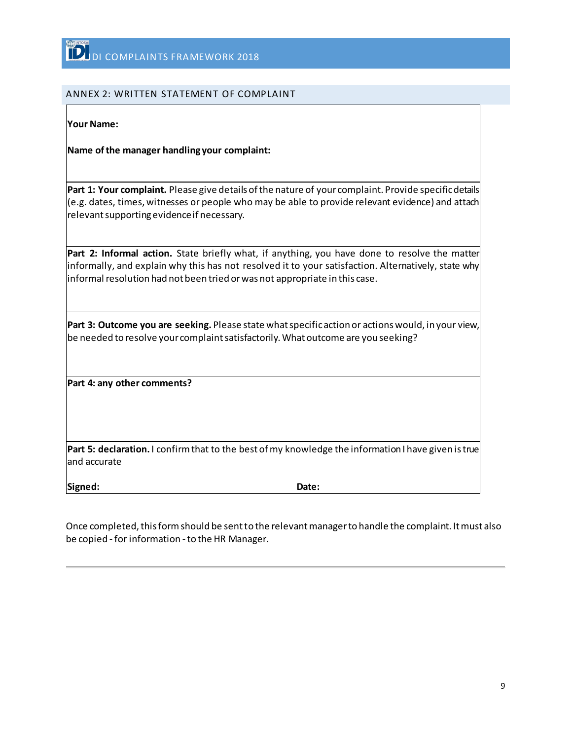## <span id="page-9-0"></span>ANNEX 2: WRITTEN STATEMENT OF COMPLAINT

**Your Name:**

**Name of the manager handling your complaint:** 

**Part 1: Your complaint.** Please give details of the nature of your complaint. Provide specific details (e.g. dates, times, witnesses or people who may be able to provide relevant evidence) and attach relevant supporting evidence if necessary.

**Part 2: Informal action.** State briefly what, if anything, you have done to resolve the matter informally, and explain why this has not resolved it to your satisfaction. Alternatively, state why informal resolution had not been tried or was not appropriate in this case.

**Part 3: Outcome you are seeking.** Please state what specific action or actions would, in your view, be needed to resolve your complaint satisfactorily. What outcome are you seeking?

**Part 4: any other comments?**

**Part 5: declaration.** I confirm that to the best of my knowledge the information I have given is true and accurate

**Signed: Date:**

Once completed, this form should be sent to the relevant manager to handle the complaint. It must also be copied - for information - to the HR Manager.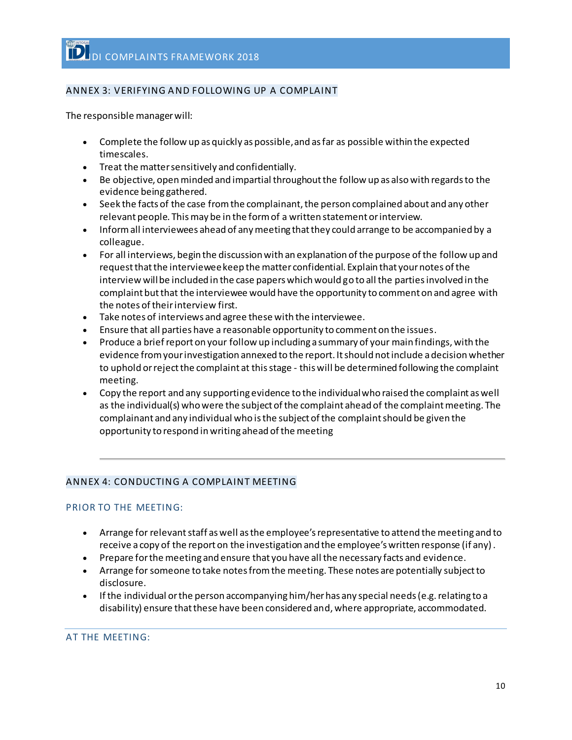# <span id="page-10-0"></span>ANNEX 3: VERIFYING AND FOLLOWING UP A COMPLAINT

The responsible manager will:

- Complete the follow up as quickly as possible, and as far as possible within the expected timescales.
- Treat the matter sensitively and confidentially.
- Be objective, open minded and impartial throughout the follow up as also with regards to the evidence being gathered.
- Seek the facts of the case from the complainant, the person complained about and any other relevant people. This may be in the form of a written statement or interview.
- Inform all interviewees ahead of any meeting that they could arrange to be accompanied by a colleague.
- For all interviews, begin the discussion with an explanation of the purpose of the follow up and request that the interviewee keep the matter confidential. Explain that your notes of the interview will be included in the case papers which would go to all the parties involved in the complaint but that the interviewee would have the opportunity to comment on and agree with the notes of their interview first.
- Take notes of interviews and agree these with the interviewee.
- Ensure that all parties have a reasonable opportunity to comment on the issues.
- Produce a brief report on your follow up including a summary of your main findings, with the evidence from your investigation annexed to the report. It should not include a decision whether to uphold or reject the complaint at this stage - this will be determined following the complaint meeting.
- Copy the report and any supporting evidence to the individual who raised the complaint as well as the individual(s) who were the subject of the complaint ahead of the complaint meeting. The complainant and any individual who is the subject of the complaint should be given the opportunity to respond in writing ahead of the meeting

# <span id="page-10-1"></span>ANNEX 4: CONDUCTING A COMPLAINT MEETING

### PRIOR TO THE MEETING:

- Arrange for relevant staff as well as the employee's representative to attend the meeting and to receive a copy of the report on the investigation and the employee's written response (if any).
- Prepare for the meeting and ensure that you have all the necessary facts and evidence.
- Arrange for someone to take notes from the meeting. These notes are potentially subject to disclosure.
- If the individual or the person accompanying him/her has any special needs (e.g. relating to a disability) ensure that these have been considered and, where appropriate, accommodated.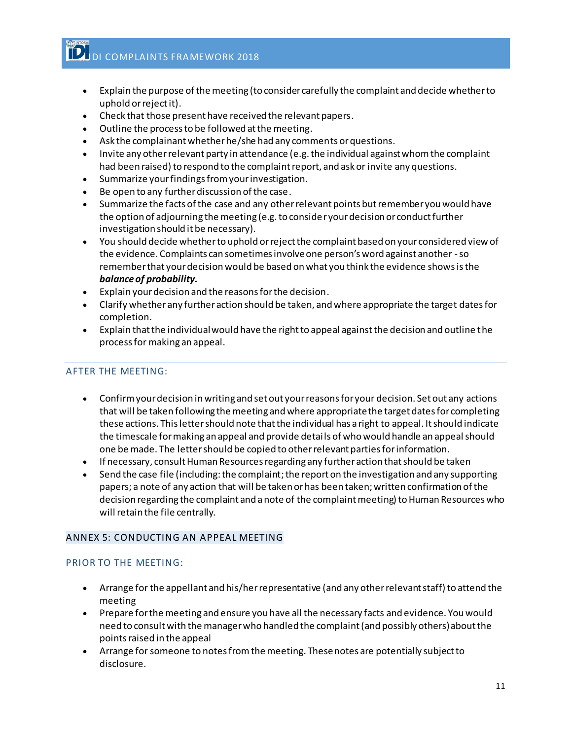- Explain the purpose of the meeting (to consider carefully the complaint and decide whether to uphold or reject it).
- Check that those present have received the relevant papers.
- Outline the process to be followed at the meeting.
- Ask the complainant whether he/she had any comments or questions.
- Invite any other relevant party in attendance (e.g. the individual against whom the complaint had been raised) to respond to the complaint report, and ask or invite any questions.
- Summarize your findings from your investigation.
- Be open to any further discussion of the case.
- Summarize the facts of the case and any other relevant points but remember you would have the option of adjourning the meeting (e.g. to consider your decision or conduct further investigation should it be necessary).
- You should decide whether to uphold or reject the complaint based on your considered view of the evidence. Complaints can sometimes involve one person's word against another -so remember that your decision would be based on what you think the evidence showsisthe *balanceof probability.*
- Explain your decision and the reasons for the decision.
- Clarify whether any further action should be taken, and where appropriate the target dates for completion.
- Explain that the individual would have the right to appeal against the decision and outline the process for making an appeal.

## AFTER THE MEETING:

- Confirm your decision in writing and set out your reasons for your decision. Set out any actions that will be taken following the meeting and where appropriate the target dates for completing these actions. This letter should note that the individual has a right to appeal. It should indicate the timescale for making an appeal and provide details of who would handle an appeal should one be made. The letter should be copied to other relevant parties for information.
- If necessary, consult Human Resources regarding any further action that should be taken
- Send the case file (including: the complaint; the report on the investigation and any supporting papers; a note of any action that will be taken or has been taken; written confirmation of the decision regarding the complaint and a note of the complaint meeting) to Human Resources who will retain the file centrally.

### <span id="page-11-0"></span>ANNEX 5: CONDUCTING AN APPEAL MEETING

### PRIOR TO THE MEETING:

- Arrange for the appellant and his/her representative (and any other relevant staff) to attend the meeting
- Prepare for the meeting and ensure you have all the necessary facts and evidence. You would need to consult with the manager who handled the complaint (and possibly others) about the points raised in the appeal
- Arrange for someone to notes fromthe meeting. These notes are potentially subject to disclosure.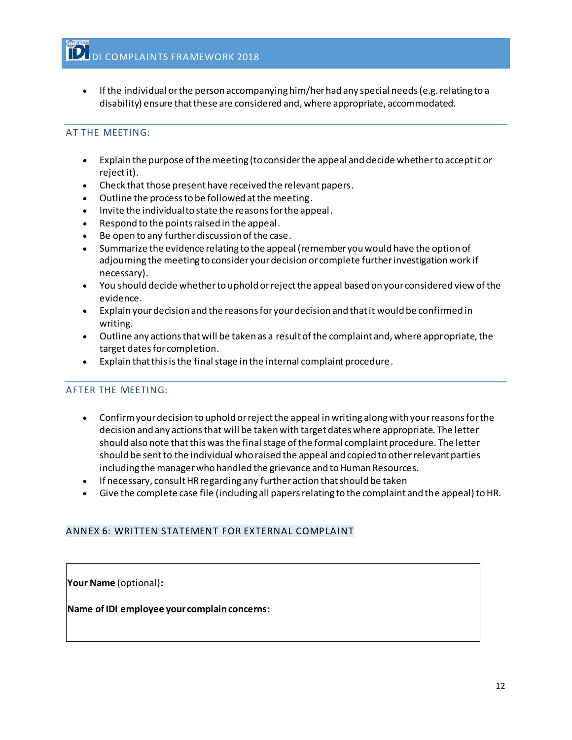• If the individual or the person accompanying him/her had any special needs (e.g. relating to a disability) ensure that these are considered and, where appropriate, accommodated.

# AT THE MEETING:

- Explain the purpose of the meeting (to consider the appeal and decide whether to accept it or reject it).
- Check that those present have received the relevant papers.
- Outline the process to be followed at the meeting.
- Invite the individual to state the reasons for the appeal.
- Respond to the points raised in the appeal.
- Be open to any further discussion of the case.
- Summarize the evidence relating to the appeal (remember you would have the option of adjourning the meeting to consider your decision or complete further investigation work if necessary).
- You should decide whether to uphold or reject the appeal based on your considered view of the evidence.
- Explain your decision and the reasons for your decision and that it would be confirmed in writing.
- Outline any actions that will be taken as a result of the complaint and, where appropriate, the target dates for completion.
- Explain that this is the final stage in the internal complaint procedure.

### AFTER THE MEETING:

- Confirm your decision to uphold or reject the appeal in writing along with your reasons for the decision and any actions that will be taken with target dates where appropriate. The letter should also note that this was the final stage of the formal complaint procedure. The letter should be sent to the individual who raised the appeal and copied to other relevant parties including the manager who handled the grievance and to Human Resources.
- If necessary, consult HR regarding any further action that should be taken
- Give the complete case file (including all papers relating to the complaint and the appeal) to HR.

# <span id="page-12-0"></span>ANNEX 6: WRITTEN STATEMENT FOR EXTERNAL COMPLAINT

**Your Name** (optional)**:**

**Name of IDI employee your complain concerns:**